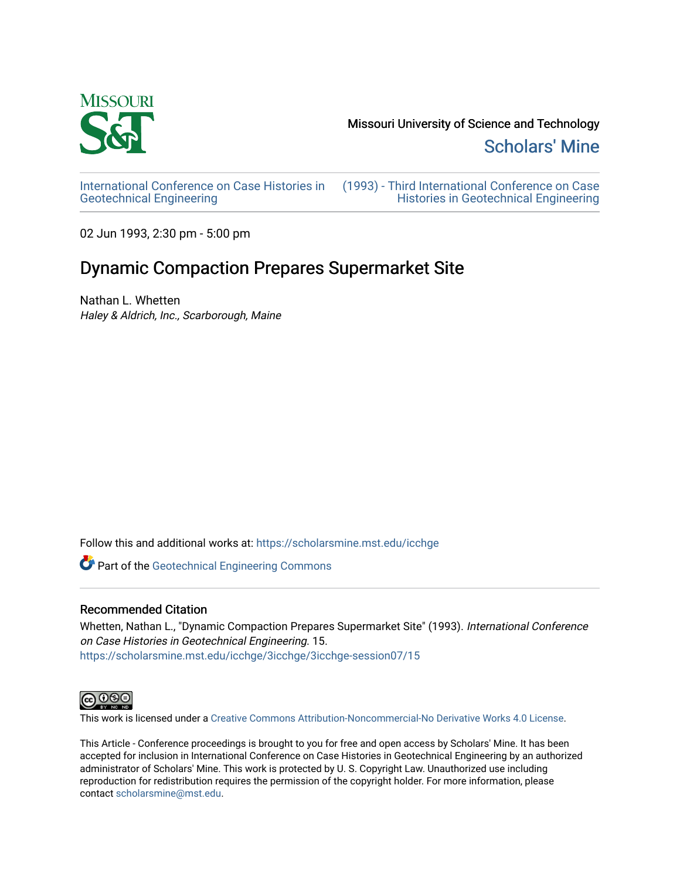

Missouri University of Science and Technology

[Scholars' Mine](https://scholarsmine.mst.edu/) 

[International Conference on Case Histories in](https://scholarsmine.mst.edu/icchge)  [Geotechnical Engineering](https://scholarsmine.mst.edu/icchge)

[\(1993\) - Third International Conference on Case](https://scholarsmine.mst.edu/icchge/3icchge)  [Histories in Geotechnical Engineering](https://scholarsmine.mst.edu/icchge/3icchge) 

02 Jun 1993, 2:30 pm - 5:00 pm

# Dynamic Compaction Prepares Supermarket Site

Nathan L. Whetten Haley & Aldrich, Inc., Scarborough, Maine

Follow this and additional works at: [https://scholarsmine.mst.edu/icchge](https://scholarsmine.mst.edu/icchge?utm_source=scholarsmine.mst.edu%2Ficchge%2F3icchge%2F3icchge-session07%2F15&utm_medium=PDF&utm_campaign=PDFCoverPages) 

**Part of the Geotechnical Engineering Commons** 

# Recommended Citation

Whetten, Nathan L., "Dynamic Compaction Prepares Supermarket Site" (1993). International Conference on Case Histories in Geotechnical Engineering. 15. [https://scholarsmine.mst.edu/icchge/3icchge/3icchge-session07/15](https://scholarsmine.mst.edu/icchge/3icchge/3icchge-session07/15?utm_source=scholarsmine.mst.edu%2Ficchge%2F3icchge%2F3icchge-session07%2F15&utm_medium=PDF&utm_campaign=PDFCoverPages) 



This work is licensed under a [Creative Commons Attribution-Noncommercial-No Derivative Works 4.0 License.](https://creativecommons.org/licenses/by-nc-nd/4.0/)

This Article - Conference proceedings is brought to you for free and open access by Scholars' Mine. It has been accepted for inclusion in International Conference on Case Histories in Geotechnical Engineering by an authorized administrator of Scholars' Mine. This work is protected by U. S. Copyright Law. Unauthorized use including reproduction for redistribution requires the permission of the copyright holder. For more information, please contact [scholarsmine@mst.edu](mailto:scholarsmine@mst.edu).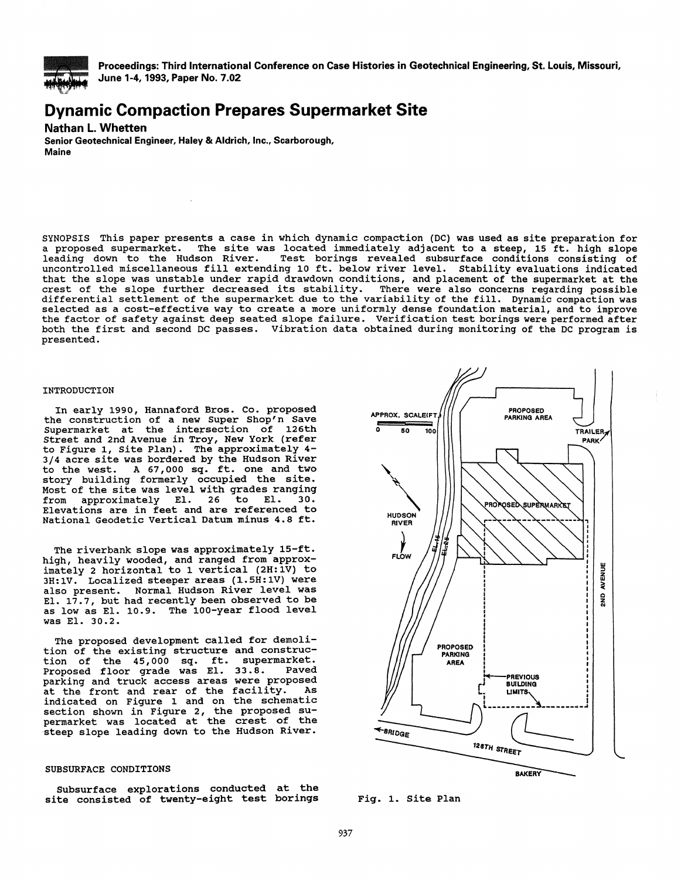

Proceedings: Third International Conference on Case Histories in Geotechnical Engineering, St. Louis, Missouri, June 1-4, 1993, Paper No. 7.02

# **Dynamic Compaction Prepares Supermarket Site**

# Nathan L. Whetten

Senior Geotechnical Engineer, Haley & Aldrich, Inc., Scarborough, Maine

SYNOPSIS This paper presents a case in which dynamic compaction (DC) was used as site preparation for a proposed supermarket. The site was located immediately adjacent to a steep, 15 ft. high slope<br>leading down to the Hudson River. Test borings revealed subsurface conditions consisting of Test borings revealed subsurface conditions consisting of uncontrolled miscellaneous fill extending 10 ft. below river level. Stability evaluations indicated that the slope was unstable under rapid drawdown conditions, and placement of the supermarket at the crest of the slope further decreased its stability. There were also concerns regarding possible selected as a cost-effective way to create a more uniformly dense foundation material, and to improve the factor of safety against deep seated slope failure. Verification test borings were performed after both the first and second DC passes. Vibration data obtained during monitoring of the DC program is presented.

#### INTRODUCTION

In early 1990, Hannaford Bros. Co. proposed the construction of a new Super Shop'n Save Supermarket at the intersection of 126th Street and 2nd Avenue in Troy, New York (refer to Figure 1, Site Plan). The approximately 4- 3/4 acre site was bordered by the Hudson River to the west. A 67,000 sq. ft. one and two story building formerly occupied the site. Most of the site was level with grades ranging<br>from approximately El. 26 to El. 30. approximately Elevations are in feet and are referenced to National Geodetic Vertical Datum minus 4.8 ft.

The riverbank slope was approximately 15-ft. high, heavily wooded, and ranged from approximately 2 horizontal to 1 vertical (2H:1V) to 3H:1V. Localized steeper areas (1.5H:1V) were also present. Normal Hudson River level was El. 17.7, but had recently been observed to be as low as El. 10.9. The 100-year flood level was El. 30.2.

The proposed development called for demolition of the existing structure and construction of the 45,000 sq. ft. supermarket.<br>Proposed floor grade was El. 33.8. Payed Proposed floor grade was El. 33.8. parking and truck access areas were proposed<br>at the front and roar of the facility as at the front and rear of the facility. indicated on Figure 1 and on the schematic section shown in Figure 2, the proposed supermarket was located at the crest of the steep slope leading down to the Hudson River.

# SUBSURFACE CONDITIONS

Subsurface explorations conducted at the site consisted of twenty-eight test borings



Fig. 1. Site Plan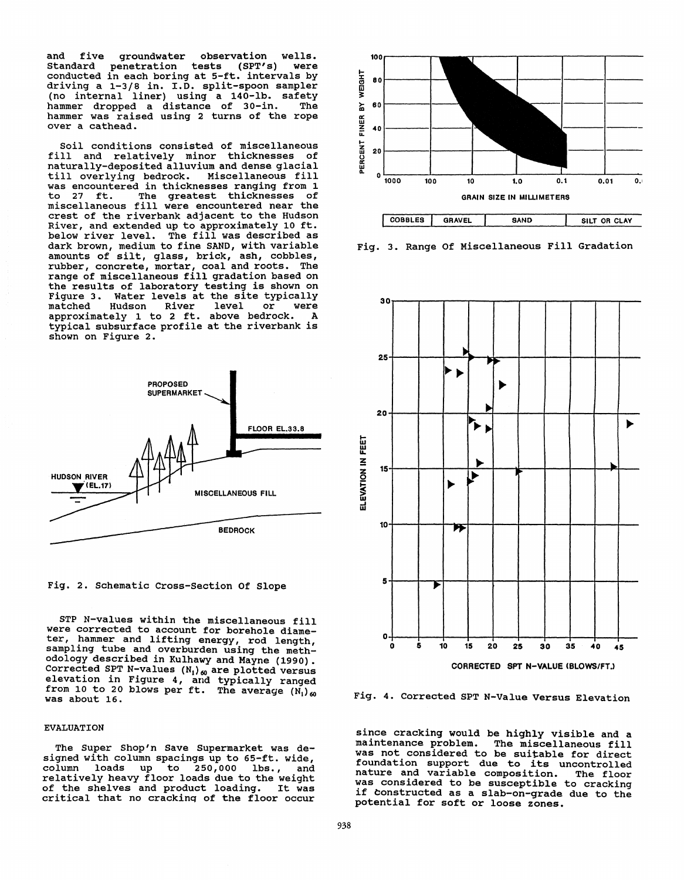and five groundwater observation wells.<br>Standard penetration tests (SPT's) were Standard penetration tests (SPT's) were<br>conducted in each boring at 5-ft. intervals by conducted in each boring at 5-ft. intervals by driving a 1-3/8 in. I.D. split-spoon sampler (no internal liner) using a 140-lb. safety hammer dropped a distance of 30-in. The hammer dropped a distance of 30-in. The<br>hammer was raised using 2 turns of the rope over a cathead.

Soil conditions consisted of miscellaneous fill and relatively minor thicknesses of naturally-deposited alluvium and dense glacial till overlying bedrock. Miscellaneous fill was encountered in thicknesses ranging from 1<br>to 27 ft. The greatest thicknesses of The greatest thicknesses of miscellaneous fill were encountered near the crest of the riverbank adjacent to the Hudson River, and extended up to approximately 10 ft. below river level. The fill was described as dark brown, medium to fine SAND, with variable amounts of silt, glass, brick, ash, cobbles, rubber, concrete, mortar, coal and roots. The<br>range of miscellaneous fill gradation based on the results of laboratory testing is shown on Figure 3. Water levels at the site typically<br>matched Hudson River level or were<br>annroximately 1 to 2 ft, above bedrock. A approximately 1 to 2 ft. above bedrock. typical subsurface profile at the riverbank is shown on Figure 2.





STP N-values within the miscellaneous fill were corrected to account for borehole diameter, hammer and lifting energy, rod length, sampling tube and overburden using the methodology described in Kulhawy and Mayne (1990). Corrected SPT N-values  $(N_1)_{60}$  are plotted versus elevation in Figure 4, and typically ranged from 10 to 20 blows per ft. The average  $(N_1)_{60}$ was about 16.

#### EVALUATION

The Super Shop'n Save Supermarket was designed with column spacings up to 65-ft. wide,<br>column loads up to 250,000 lbs., and  $\begin{bmatrix} \text{to} & 250,000 & \text{lbs.} \end{bmatrix}$ , and relatively heavy floor loads due to the weight of the shelves and product loading. It was critical that no crackinq of the floor occur



Fig. 3. Range Of Miscellaneous Fill Gradation



Fig. 4. Corrected SPT N-Value Versus Elevation

since cracking would be highly visible and a<br>maintenance problem. The miscellaneous fill The miscellaneous fill was not considered to be suitable for direct foundation support due to its uncontrolled<br>nature and variable composition. The floor nature and variable composition. The floor<br>was considered to be susceptible to cracking if constructed as a slab-on-grade due to the potential for soft or loose zones.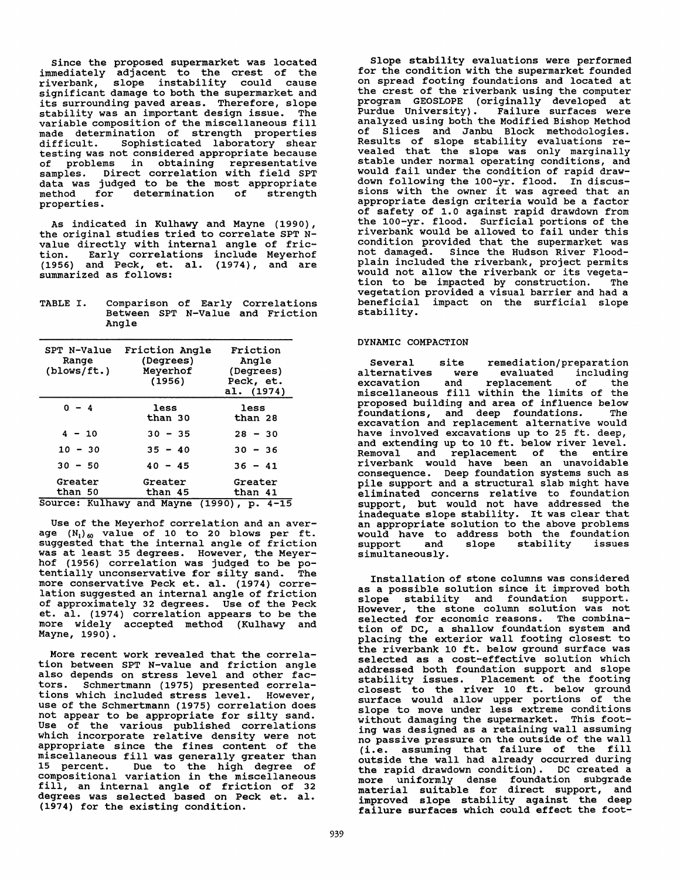Since the proposed supermarket was located immediately adjacent to the crest of the riverbank, slope instability could cause significant damage to both the supermarket and its surrounding paved areas. Therefore, slope stability was an important design issue. The variable composition of the miscellaneous fill nade determination of strength properties<br>difficult. Sophisticated laboratory shear Sophisticated laboratory shear testing was not considered appropriate because of problems in obtaining representative samples. Direct correlation with field SPT data was judged to be the most appropriate<br>method for determination of strength method for determination of properties.

As indicated in Kulhawy and Mayne (1990), the original studies tried to correlate SPT Nvalue directly with internal angle of fric-<br>tion. Early correlations include Meyerhof Early correlations include Meyerhof (1956) and Peck, et. al. (1974), and are summarized as follows:

| TABLE I. |       |  |  | Comparison of Early Correlations |                                  |
|----------|-------|--|--|----------------------------------|----------------------------------|
|          | Angle |  |  |                                  | Between SPT N-Value and Friction |

| SPT N-Value<br>Range<br>(blows/ft.) | Friction Angle<br>(Degrees)<br>Meyerhof<br>(1956) | Friction<br>Angle<br>(Degrees)<br>Peck, et.<br>al. (1974) |  |  |
|-------------------------------------|---------------------------------------------------|-----------------------------------------------------------|--|--|
| $0 - 4$                             | less<br>than 30                                   | less<br>than 28                                           |  |  |
| $4 - 10$                            | $30 - 35$                                         | $28 - 30$                                                 |  |  |
| $10 - 30$                           | $35 - 40$                                         | $30 - 36$                                                 |  |  |
| $30 - 50$                           | $40 - 45$                                         | $36 - 41$                                                 |  |  |
| Greater                             | Greater                                           | Greater                                                   |  |  |
| than 50                             | than 45                                           | than 41                                                   |  |  |
|                                     |                                                   | Source: Kulhawy and Mayne (1990), p. 4-15                 |  |  |

Use of the Meyerhof correlation and an aver-<br>age  $(N_1)_{60}$  value of 10 to 20 blows per ft.<br>suggested that the internal angle of friction was at least 35 degrees. However, the Meyerhof (1956) correlation was judged to be po-tentially unconservative for silty sand. The more conservative Peck et. al. (1974) corre- lation suggested an internal angle of friction of approximately 32 degrees. Use of the Peck et. al. (1974) correlation appears to be the more widely accepted method (Kulhawy and Mayne, 1990).

More recent work revealed that the correlation between SPT N-value and friction angle also depends on stress level and other factors. Schmertmann (1975) presented correlations which included stress level. However, use of the Schmertmann (1975) correlation does not appear to be appropriate for silty sand. Use of the various published correlations which incorporate relative density were not appropriate since the fines content of the miscellaneous fill was generally greater than 15 percent. Due to the high degree of compositional variation in the miscellaneous fill, an internal angle of friction of 32 degrees was selected based on Peck et. al. (1974) for the existing condition.

Slope stability evaluations were performed<br>for the condition with the supermarket founded on spread footing foundations and located at the crest of the riverbank using the computer program GEOSLOPE (originally developed at Purdue University). Failure surfaces were analyzed using both the Modified Bishop Method of Slices and Janbu Block methodologies. Results of slope stability evaluations re-<br>vealed that the slope was only marginally stable under normal operating conditions, and would fail under the condition of rapid drawdown following the 100-yr. flood. In discus-<br>sions with the owner it was agreed that an sions with the owner it was above the owner and a factor of safety of 1.0 against rapid drawdown from the 100-yr. flood. Surficial portions of the riverbank would be allowed to fail under this condition provided that the supermarket was not damaged. Since the Hudson River Floodplain included the riverbank, project permits would not allow the riverbank or its vegetation to be impacted by construction. The vegetation provided a visual barrier and had a beneficial impact on the surficial slope stability.

# DYNAMIC COMPACTION

Several site remediation/preparation<br>alternatives were evaluated including alternatives were evaluated including<br>excavation and replacement of the excavation and replacement of the miscellaneous fill within the limits of the proposed building and area of influence below<br>foundations, and deep foundations. The foundations, and deep foundations. excavation and replacement alternative would have involved excavations up to 25 ft. deep, and extending up to 10 ft. below river level. Removal and replacement of the entire riverbank would have been an unavoidable consequence. Deep foundation systems such as pile support and a structural slab might have eliminated concerns relative to foundation support, but would not have addressed the inadequate slope stability. It was clear that an appropriate solution to the above problems would have to address both the foundation<br>support and slope stability issues support and simultaneously.

Installation of stone columns was considered as a possible solution since it improved both slope stability and foundation support. However, the stone column solution was not selected for economic reasons. The combination of DC, a shallow foundation system and placing the exterior wall footing closest to the riverbank 10 ft. below ground surface was selected as a cost-effective solution which addressed both foundation support and slope stability issues. Placement of the footing closest to the river 10 ft. below ground surface would allow upper portions of the slope to move under less extreme conditions without damaging the supermarket. This footing was designed as a retaining wall assuming no passive pressure on the outside of the wall (i.e. assuming that failure of the fill outside the wall had already occurred during<br>the rapid drawdown condition). DC created a more uniformly dense foundation subgrade material suitable for direct support, and improved slope stability against the deep failure surfaces which could effect the foot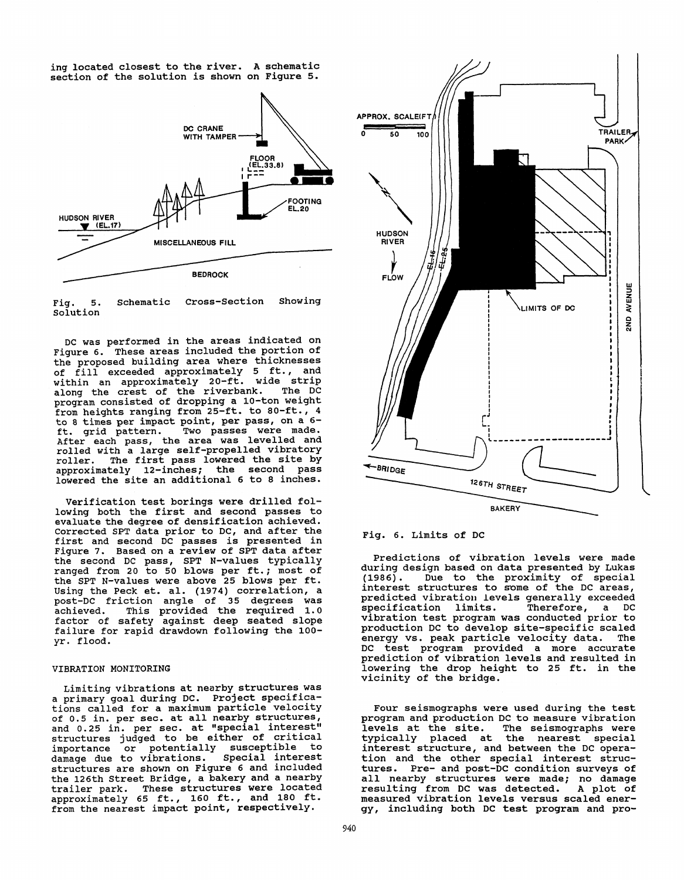ing located closest to the river. A schematic section of the solution is shown on Figure 5.





DC was performed in the areas indicated on Figure 6. These areas included the portion of the proposed building area where thicknesses of fill exceeded approximately 5 ft., and within an approximately 20-ft. wide strip along the crest of the riverbank. The DC program consisted of dropping a 10-ton weight from heights ranging from 25-ft. to 80-ft., 4 to 8 times per impact point, per pass, on a 6-<br>ft. grid pattern. Two passes were made. Two passes were made. After each pass, the area was levelled and rolled with a large self-propelled vibratory roller. The first pass lowered the site by approximately 12-inches; the second pass lowered the site an additional 6 to 8 inches.

Verification test borings were drilled following both the first and second passes to evaluate the degree of densification achieved, corrected SPT data prior to DC, and after the first and second DC passes is presented in Figure 7. Based on a review of SPT data after the second DC pass, SPT N-values typically ranged from 20 to 50 blows per ft.; most of the SPT N-values were above 25 blows per ft. Using the Peck et. al. (1974) correlation, a post-De friction angle of 35 degrees was achieved. This provided the required 1.0 factor of safety against deep seated slope failure for rapid drawdown following the 100 yr. flood.

### VIBRATION MONITORING

Limiting vibrations at nearby structures was a primary goal during DC. Project specifica- tions called for a maximum particle velocity of 0,5 in. per sec. at all nearby structures, and 0.25 in. per sec. at "special interest" structures judged to be either of critical<br>importance or potentially susceptible to or potentially susceptible to<br>to vibrations. Special interest damage due to vibrations. structures are shown on Figure 6 and included the 126th Street Bridge, a bakery and a nearby trailer park. These structures were located approximately 65 ft., 160 ft., and 180 ft. from the nearest impact point, respectively.



## Fig. 6. Limits of DC

Predictions of vibration levels were made during design based on data presented by Lukas<br>(1986). Due to the proximity of special Due to the proximity of special interest structures to some of the DC areas, predicted vibration levels generally exceeded<br>specification limits. Therefore, a DC specification limits. vibration test program was conducted prior to production DC to develop site-specific scaled<br>energy vs. peak particle velocity data. The energy vs. peak particle velocity data. DC test program provided a more accurate prediction of vibration levels and resulted in lowering the drop height to 25 ft. in the vicinity of the bridge.

Four seismographs were used during the test program and production DC to measure vibration levels at the site. typically placed at the nearest special interest structure, and between the DC operation and the other special interest structures. Pre- and post-De condition surveys of all nearby structures were made; no damage<br>resulting from DC was detected. A plot of resulting from DC was detected. measured vibration levels versus scaled energy, including both DC test program and pro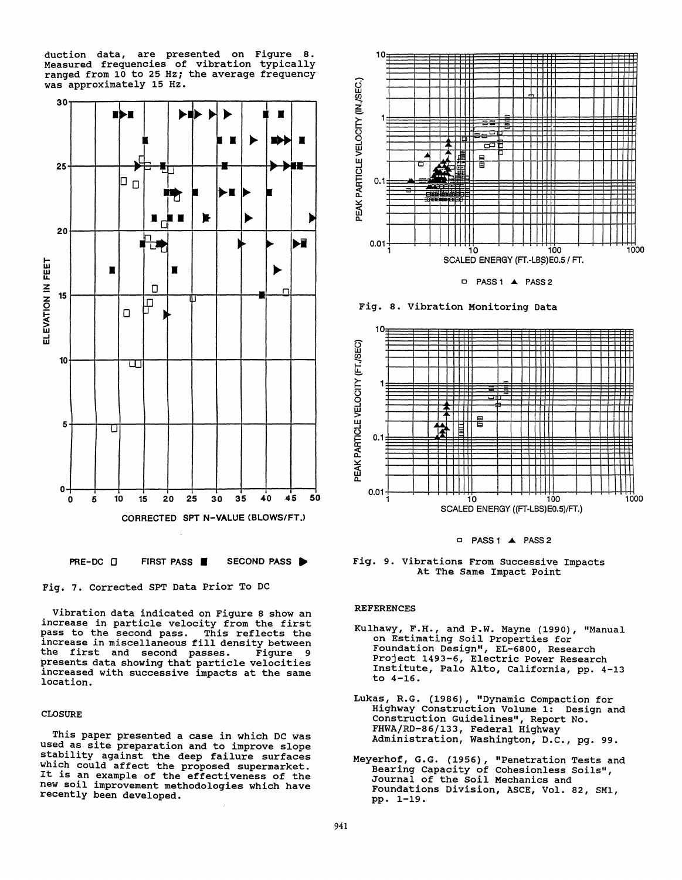duction data, are presented on Figure 8. Measured frequencies of vibration typically ranged from 10 to 25 Hz; the average frequency was approximately 15 Hz.



Fig. 7. Corrected SPT Data Prior To DC

Vibration data indicated on Figure 8 show an increase in particle velocity from the first pass to the second pass. This reflects the increase in miscellaneous fill density between<br>the first and second passes. Figure 9 the first and second passes. presents data showing that particle velocities increased with successive impacts at the same location.

# CLOSURE

This paper presented a case in which DC was used as site preparation and to improve slope stability against the deep failure surfaces which could affect the proposed supermarket. It is an example of the effectiveness of the new soil improvement methodologies which have recently been developed.





Fig. 8. Vibration Monitoring Data



o PASS 1 **..t.** PASS 2

Fig. 9. Vibrations From Successive Impacts At The same Impact Point

## REFERENCES

- Kulhawy, F.H., and P.W. Mayne (1990), "Manual on Estimating Soil Properties for Foundation Design", EL-6800, Research Project 1493-6, Electric Power Research Institute, Palo Alto, California, pp. 4-13 to 4-16.
- Lukas, R.G. (1986), "Dynamic Compaction for Highway Construction Volume 1: Design and Construction Guidelines", Report No. FHWA/RD-86/133, Federal Highway Administration, washington, D.c., pg. 99.
- Meyerhof, G.G. (1956), "Penetration Tests and Bearing capacity of Cohesionless Soils", Journal of the Soil Mechanics and Foundations Division, ASCE, Vol. 82, SM1, pp. l-19.